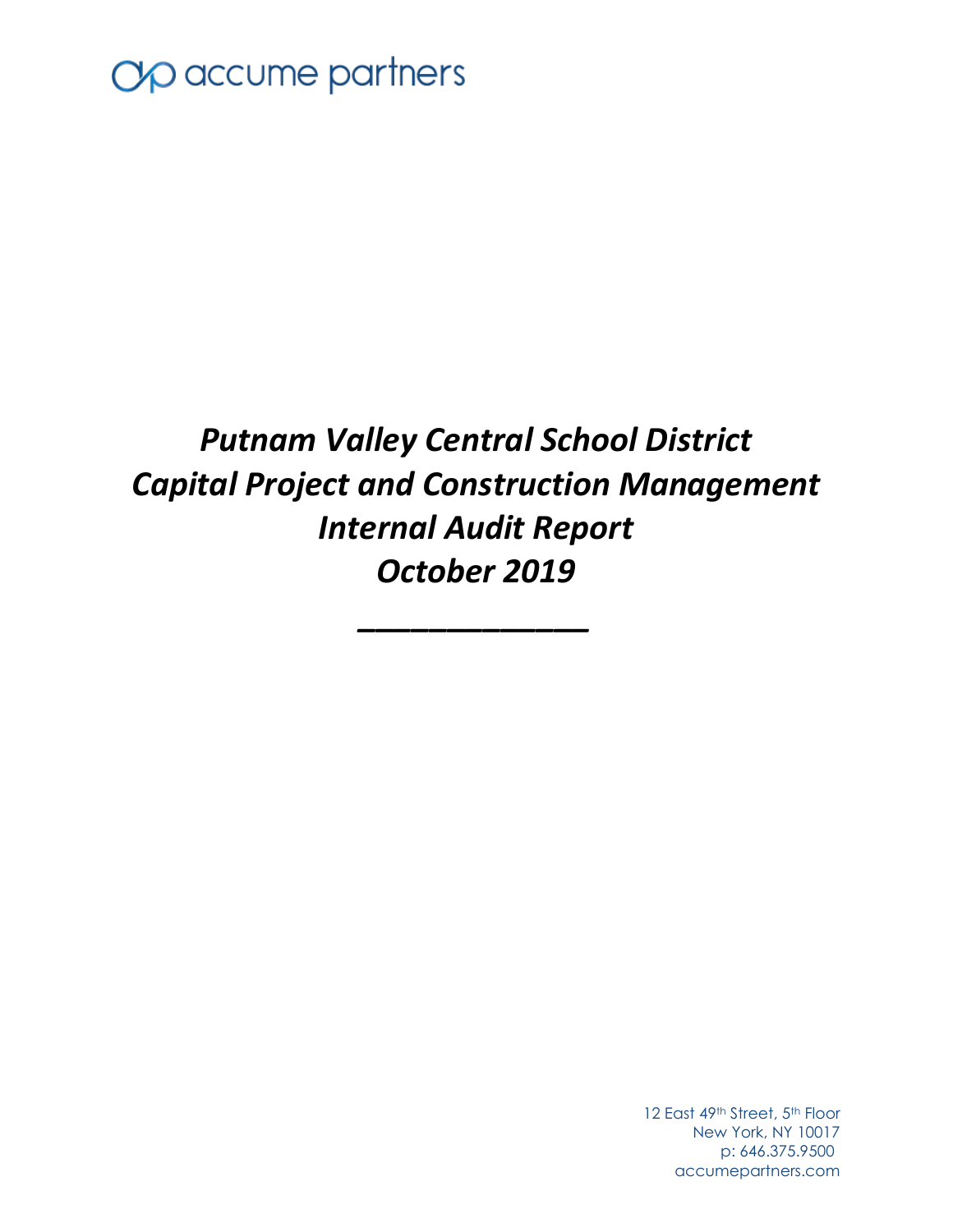

# *Putnam Valley Central School District Capital Project and Construction Management Internal Audit Report October 2019*

*\_\_\_\_\_\_\_\_\_\_\_\_\_*

12 East 49th Street, 5th Floor New York, NY 10017 p: 646.375.9500 accumepartners.com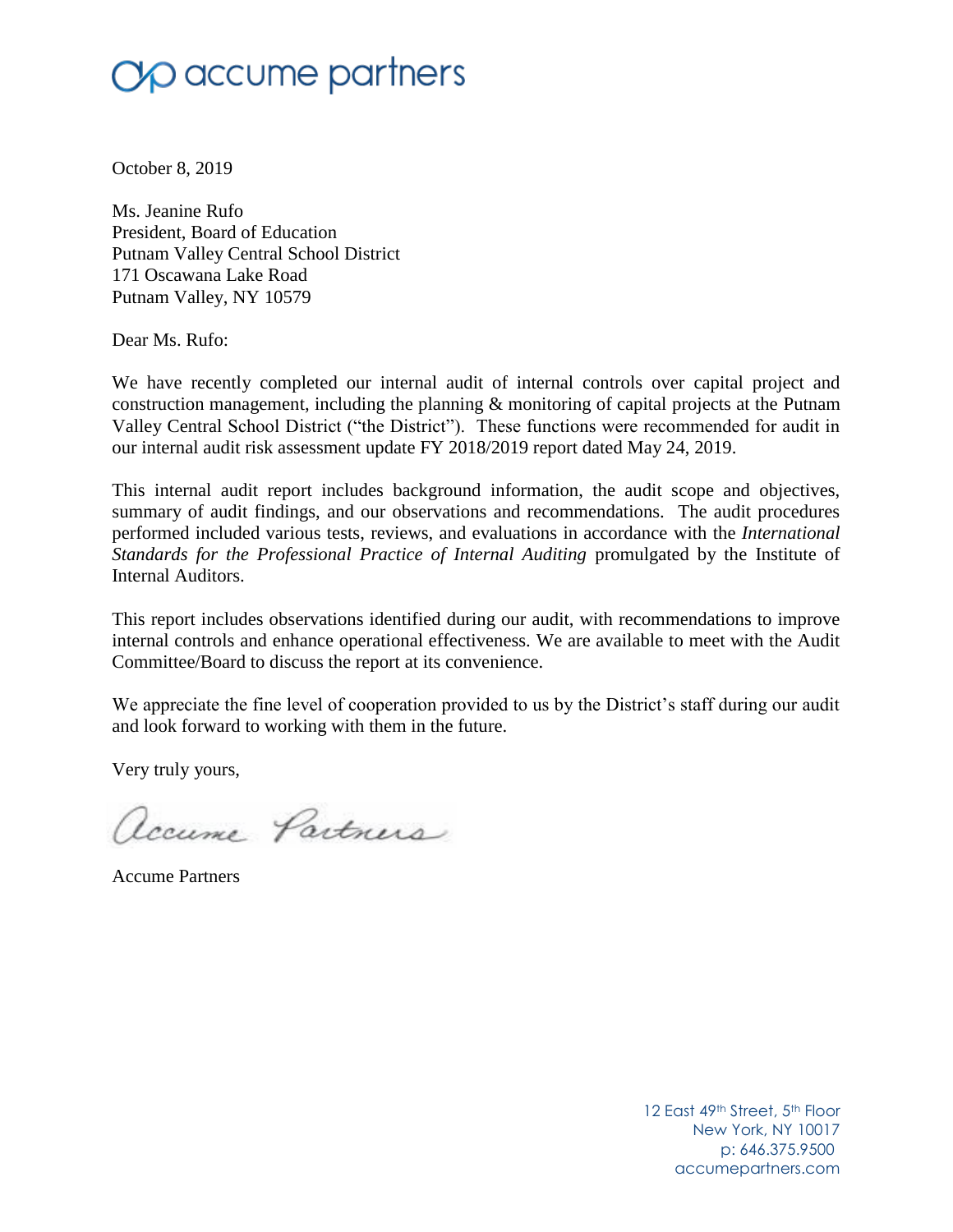# $\gamma$  accume partners

October 8, 2019

Ms. Jeanine Rufo President, Board of Education Putnam Valley Central School District 171 Oscawana Lake Road Putnam Valley, NY 10579

Dear Ms. Rufo:

We have recently completed our internal audit of internal controls over capital project and construction management, including the planning & monitoring of capital projects at the Putnam Valley Central School District ("the District"). These functions were recommended for audit in our internal audit risk assessment update FY 2018/2019 report dated May 24, 2019.

This internal audit report includes background information, the audit scope and objectives, summary of audit findings, and our observations and recommendations. The audit procedures performed included various tests, reviews, and evaluations in accordance with the *International Standards for the Professional Practice of Internal Auditing* promulgated by the Institute of Internal Auditors.

This report includes observations identified during our audit, with recommendations to improve internal controls and enhance operational effectiveness. We are available to meet with the Audit Committee/Board to discuss the report at its convenience.

We appreciate the fine level of cooperation provided to us by the District's staff during our audit and look forward to working with them in the future.

Very truly yours,

accume Partners

Accume Partners

12 East 49th Street, 5th Floor New York, NY 10017 p: 646.375.9500 accumepartners.com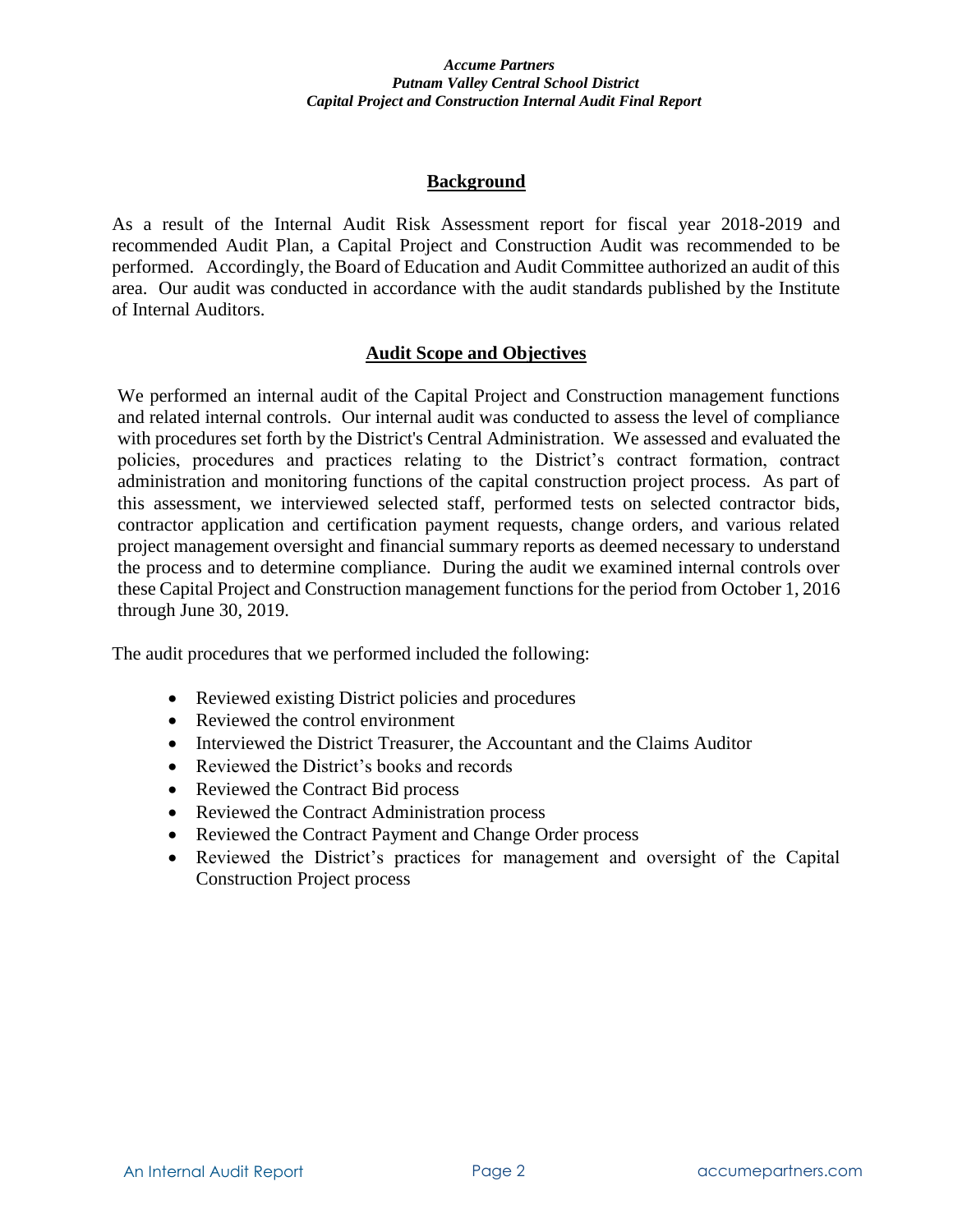## **Background**

As a result of the Internal Audit Risk Assessment report for fiscal year 2018-2019 and recommended Audit Plan, a Capital Project and Construction Audit was recommended to be performed. Accordingly, the Board of Education and Audit Committee authorized an audit of this area. Our audit was conducted in accordance with the audit standards published by the Institute of Internal Auditors.

## **Audit Scope and Objectives**

We performed an internal audit of the Capital Project and Construction management functions and related internal controls. Our internal audit was conducted to assess the level of compliance with procedures set forth by the District's Central Administration. We assessed and evaluated the policies, procedures and practices relating to the District's contract formation, contract administration and monitoring functions of the capital construction project process. As part of this assessment, we interviewed selected staff, performed tests on selected contractor bids, contractor application and certification payment requests, change orders, and various related project management oversight and financial summary reports as deemed necessary to understand the process and to determine compliance. During the audit we examined internal controls over these Capital Project and Construction management functions for the period from October 1, 2016 through June 30, 2019.

The audit procedures that we performed included the following:

- Reviewed existing District policies and procedures
- Reviewed the control environment
- Interviewed the District Treasurer, the Accountant and the Claims Auditor
- Reviewed the District's books and records
- Reviewed the Contract Bid process
- Reviewed the Contract Administration process
- Reviewed the Contract Payment and Change Order process
- Reviewed the District's practices for management and oversight of the Capital Construction Project process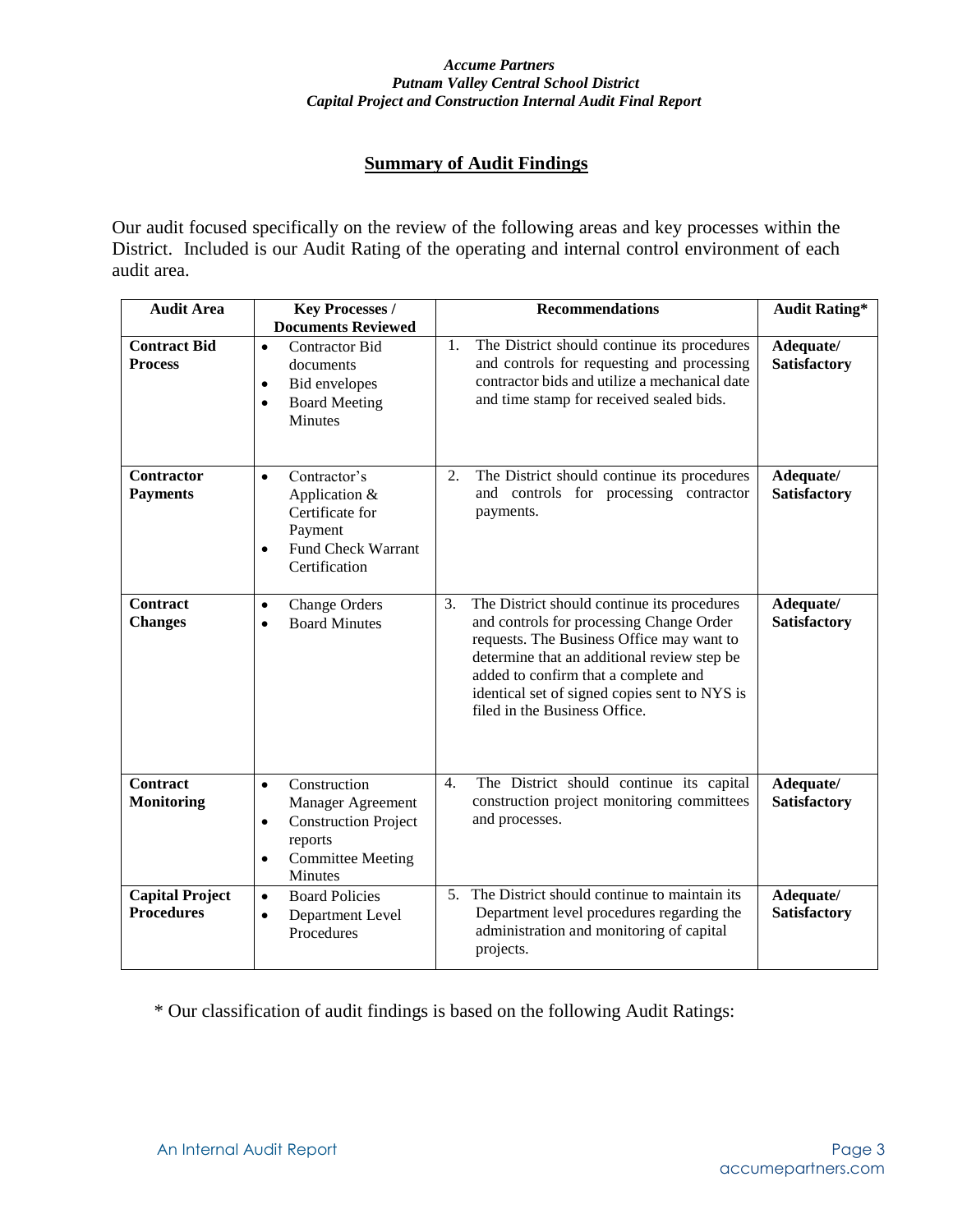## **Summary of Audit Findings**

Our audit focused specifically on the review of the following areas and key processes within the District. Included is our Audit Rating of the operating and internal control environment of each audit area.

| <b>Audit Area</b>                           | <b>Key Processes /</b>                                                                                                                                     | <b>Recommendations</b>                                                                                                                                                                                                                                                                                              | <b>Audit Rating*</b>             |
|---------------------------------------------|------------------------------------------------------------------------------------------------------------------------------------------------------------|---------------------------------------------------------------------------------------------------------------------------------------------------------------------------------------------------------------------------------------------------------------------------------------------------------------------|----------------------------------|
| <b>Contract Bid</b><br><b>Process</b>       | <b>Documents Reviewed</b><br><b>Contractor Bid</b><br>$\bullet$<br>documents<br>Bid envelopes<br>$\bullet$<br><b>Board Meeting</b><br>$\bullet$<br>Minutes | The District should continue its procedures<br>1.<br>and controls for requesting and processing<br>contractor bids and utilize a mechanical date<br>and time stamp for received sealed bids.                                                                                                                        | Adequate/<br><b>Satisfactory</b> |
| Contractor<br><b>Payments</b>               | Contractor's<br>$\bullet$<br>Application &<br>Certificate for<br>Payment<br><b>Fund Check Warrant</b><br>$\bullet$<br>Certification                        | The District should continue its procedures<br>2.<br>and controls for processing contractor<br>payments.                                                                                                                                                                                                            | Adequate/<br><b>Satisfactory</b> |
| <b>Contract</b><br><b>Changes</b>           | <b>Change Orders</b><br>$\bullet$<br><b>Board Minutes</b><br>$\bullet$                                                                                     | 3.<br>The District should continue its procedures<br>and controls for processing Change Order<br>requests. The Business Office may want to<br>determine that an additional review step be<br>added to confirm that a complete and<br>identical set of signed copies sent to NYS is<br>filed in the Business Office. | Adequate/<br><b>Satisfactory</b> |
| <b>Contract</b><br><b>Monitoring</b>        | Construction<br>$\bullet$<br>Manager Agreement<br><b>Construction Project</b><br>$\bullet$<br>reports<br><b>Committee Meeting</b><br>$\bullet$<br>Minutes  | 4.<br>The District should continue its capital<br>construction project monitoring committees<br>and processes.                                                                                                                                                                                                      | Adequate/<br><b>Satisfactory</b> |
| <b>Capital Project</b><br><b>Procedures</b> | <b>Board Policies</b><br>$\bullet$<br>Department Level<br>$\bullet$<br>Procedures                                                                          | The District should continue to maintain its<br>5 <sub>1</sub><br>Department level procedures regarding the<br>administration and monitoring of capital<br>projects.                                                                                                                                                | Adequate/<br><b>Satisfactory</b> |

\* Our classification of audit findings is based on the following Audit Ratings: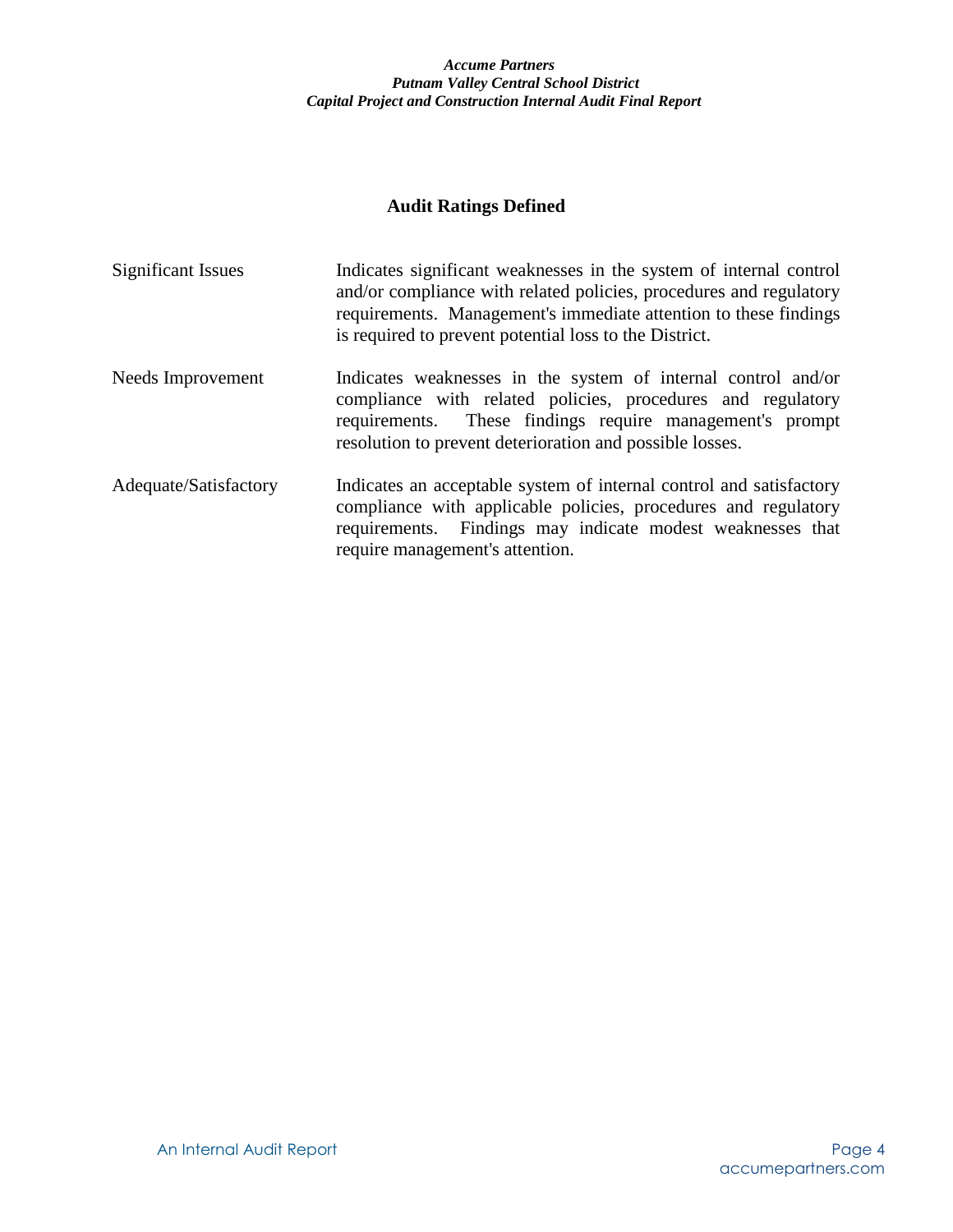## **Audit Ratings Defined**

| <b>Significant Issues</b> | Indicates significant weaknesses in the system of internal control<br>and/or compliance with related policies, procedures and regulatory<br>requirements. Management's immediate attention to these findings<br>is required to prevent potential loss to the District. |
|---------------------------|------------------------------------------------------------------------------------------------------------------------------------------------------------------------------------------------------------------------------------------------------------------------|
| Needs Improvement         | Indicates weaknesses in the system of internal control and/or<br>compliance with related policies, procedures and regulatory<br>requirements. These findings require management's prompt<br>resolution to prevent deterioration and possible losses.                   |
| Adequate/Satisfactory     | Indicates an acceptable system of internal control and satisfactory<br>compliance with applicable policies, procedures and regulatory<br>requirements. Findings may indicate modest weaknesses that<br>require management's attention.                                 |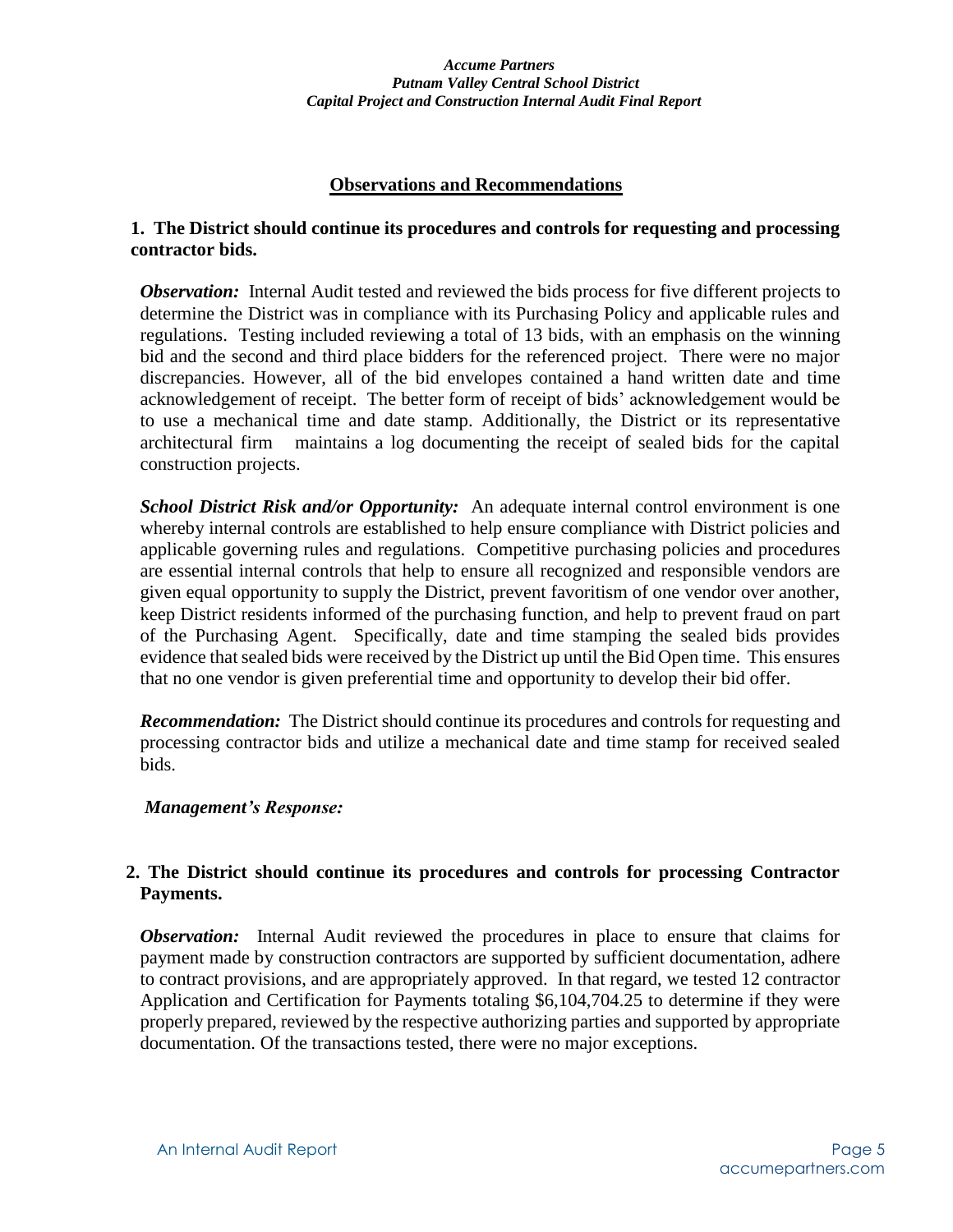## **Observations and Recommendations**

## **1. The District should continue its procedures and controls for requesting and processing contractor bids.**

*Observation:* Internal Audit tested and reviewed the bids process for five different projects to determine the District was in compliance with its Purchasing Policy and applicable rules and regulations. Testing included reviewing a total of 13 bids, with an emphasis on the winning bid and the second and third place bidders for the referenced project. There were no major discrepancies. However, all of the bid envelopes contained a hand written date and time acknowledgement of receipt. The better form of receipt of bids' acknowledgement would be to use a mechanical time and date stamp. Additionally, the District or its representative architectural firm maintains a log documenting the receipt of sealed bids for the capital construction projects.

**School District Risk and/or Opportunity:** An adequate internal control environment is one whereby internal controls are established to help ensure compliance with District policies and applicable governing rules and regulations. Competitive purchasing policies and procedures are essential internal controls that help to ensure all recognized and responsible vendors are given equal opportunity to supply the District, prevent favoritism of one vendor over another, keep District residents informed of the purchasing function, and help to prevent fraud on part of the Purchasing Agent. Specifically, date and time stamping the sealed bids provides evidence that sealed bids were received by the District up until the Bid Open time. This ensures that no one vendor is given preferential time and opportunity to develop their bid offer.

**Recommendation:** The District should continue its procedures and controls for requesting and processing contractor bids and utilize a mechanical date and time stamp for received sealed bids.

#### *Management's Response:*

## **2. The District should continue its procedures and controls for processing Contractor Payments.**

*Observation:* Internal Audit reviewed the procedures in place to ensure that claims for payment made by construction contractors are supported by sufficient documentation, adhere to contract provisions, and are appropriately approved. In that regard, we tested 12 contractor Application and Certification for Payments totaling \$6,104,704.25 to determine if they were properly prepared, reviewed by the respective authorizing parties and supported by appropriate documentation. Of the transactions tested, there were no major exceptions.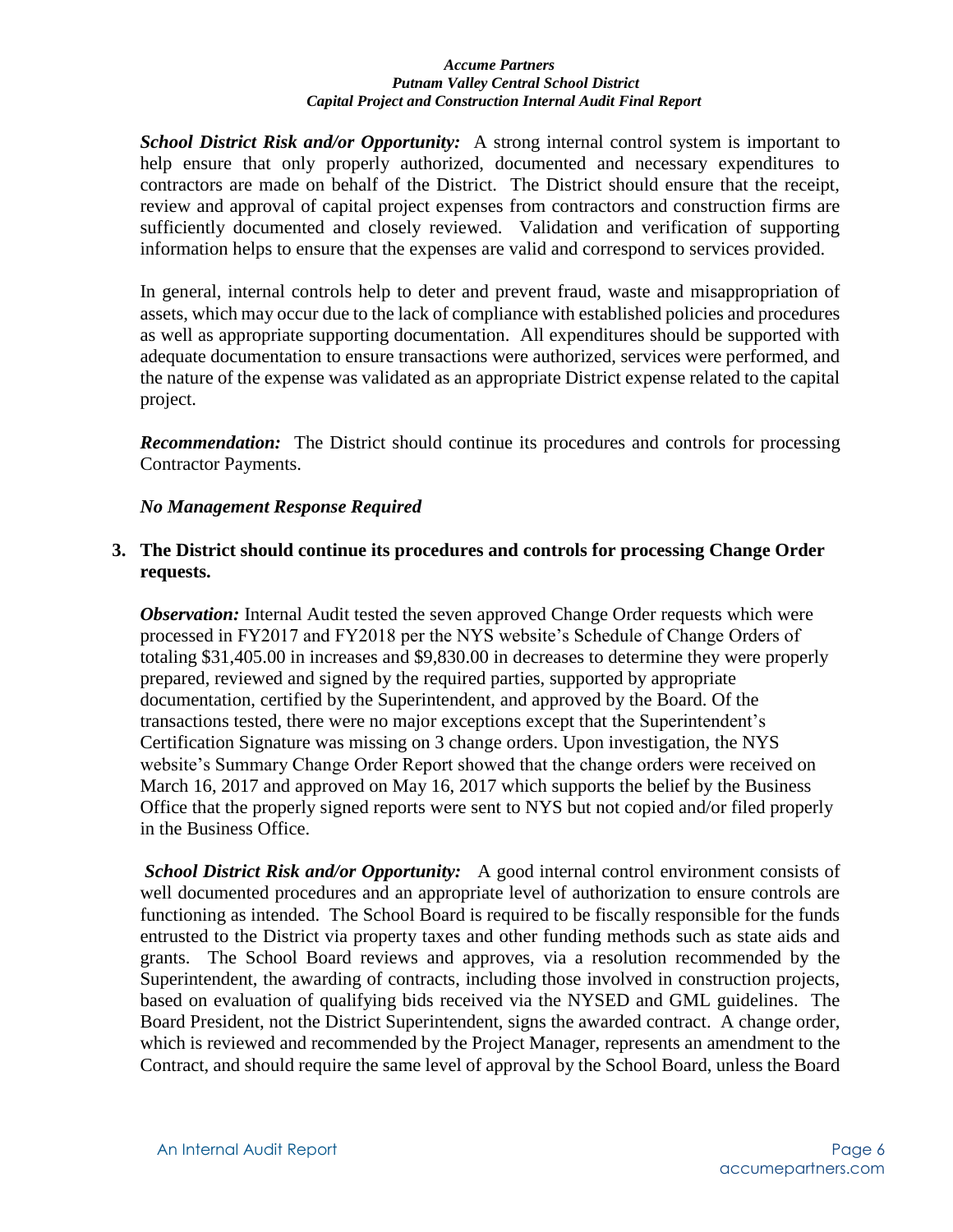*School District Risk and/or Opportunity:*A strong internal control system is important to help ensure that only properly authorized, documented and necessary expenditures to contractors are made on behalf of the District. The District should ensure that the receipt, review and approval of capital project expenses from contractors and construction firms are sufficiently documented and closely reviewed. Validation and verification of supporting information helps to ensure that the expenses are valid and correspond to services provided.

In general, internal controls help to deter and prevent fraud, waste and misappropriation of assets, which may occur due to the lack of compliance with established policies and procedures as well as appropriate supporting documentation. All expenditures should be supported with adequate documentation to ensure transactions were authorized, services were performed, and the nature of the expense was validated as an appropriate District expense related to the capital project.

*Recommendation:* The District should continue its procedures and controls for processing Contractor Payments.

## *No Management Response Required*

## **3. The District should continue its procedures and controls for processing Change Order requests.**

*Observation:* Internal Audit tested the seven approved Change Order requests which were processed in FY2017 and FY2018 per the NYS website's Schedule of Change Orders of totaling \$31,405.00 in increases and \$9,830.00 in decreases to determine they were properly prepared, reviewed and signed by the required parties, supported by appropriate documentation, certified by the Superintendent, and approved by the Board. Of the transactions tested, there were no major exceptions except that the Superintendent's Certification Signature was missing on 3 change orders. Upon investigation, the NYS website's Summary Change Order Report showed that the change orders were received on March 16, 2017 and approved on May 16, 2017 which supports the belief by the Business Office that the properly signed reports were sent to NYS but not copied and/or filed properly in the Business Office.

*School District Risk and/or Opportunity:* A good internal control environment consists of well documented procedures and an appropriate level of authorization to ensure controls are functioning as intended. The School Board is required to be fiscally responsible for the funds entrusted to the District via property taxes and other funding methods such as state aids and grants. The School Board reviews and approves, via a resolution recommended by the Superintendent, the awarding of contracts, including those involved in construction projects, based on evaluation of qualifying bids received via the NYSED and GML guidelines. The Board President, not the District Superintendent, signs the awarded contract. A change order, which is reviewed and recommended by the Project Manager, represents an amendment to the Contract, and should require the same level of approval by the School Board, unless the Board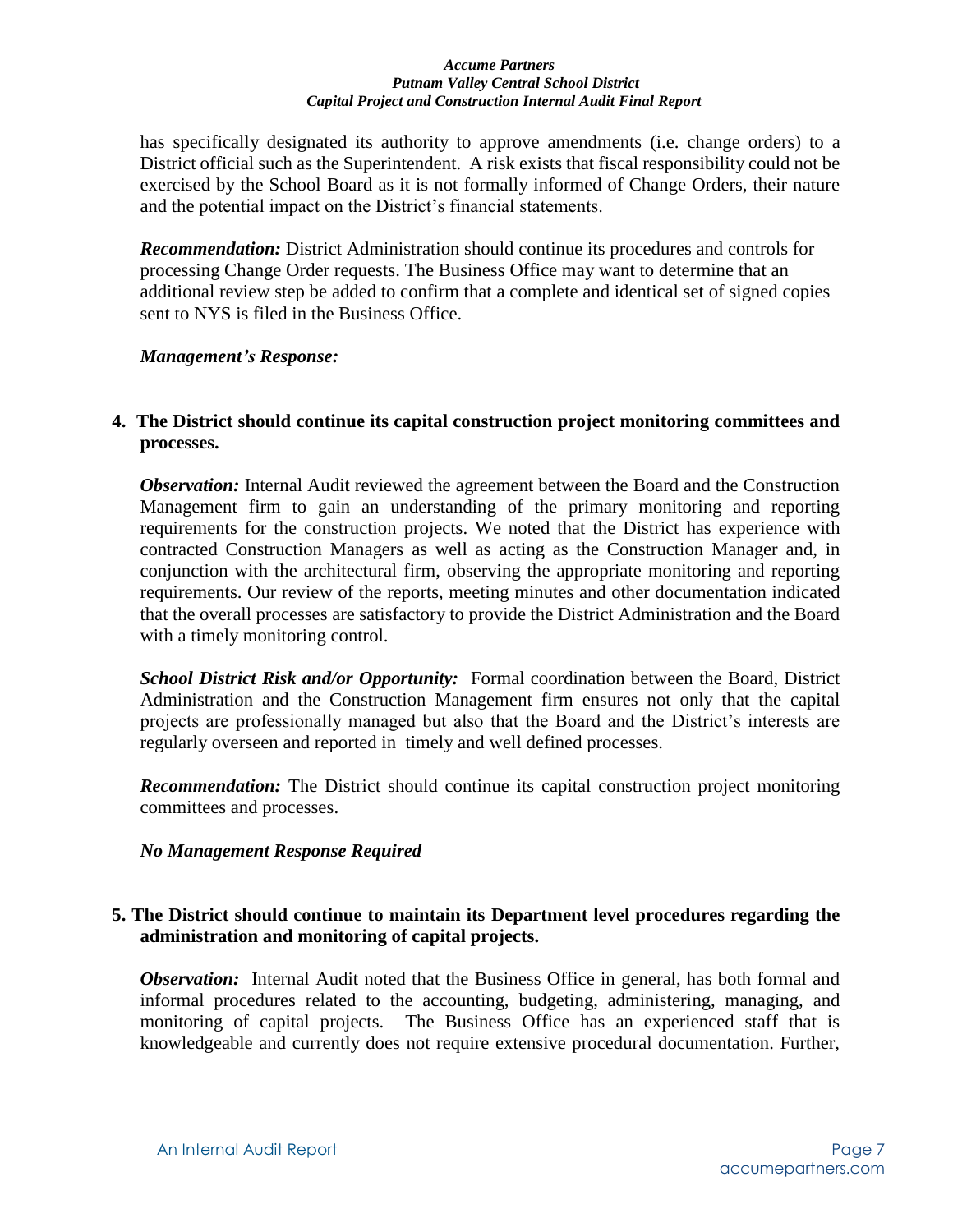has specifically designated its authority to approve amendments (i.e. change orders) to a District official such as the Superintendent. A risk exists that fiscal responsibility could not be exercised by the School Board as it is not formally informed of Change Orders, their nature and the potential impact on the District's financial statements.

 *Recommendation:* District Administration should continue its procedures and controls for processing Change Order requests. The Business Office may want to determine that an additional review step be added to confirm that a complete and identical set of signed copies sent to NYS is filed in the Business Office.

#### *Management's Response:*

## **4. The District should continue its capital construction project monitoring committees and processes.**

*Observation:* Internal Audit reviewed the agreement between the Board and the Construction Management firm to gain an understanding of the primary monitoring and reporting requirements for the construction projects. We noted that the District has experience with contracted Construction Managers as well as acting as the Construction Manager and, in conjunction with the architectural firm, observing the appropriate monitoring and reporting requirements. Our review of the reports, meeting minutes and other documentation indicated that the overall processes are satisfactory to provide the District Administration and the Board with a timely monitoring control.

 *School District Risk and/or Opportunity:* Formal coordination between the Board, District Administration and the Construction Management firm ensures not only that the capital projects are professionally managed but also that the Board and the District's interests are regularly overseen and reported in timely and well defined processes.

 *Recommendation:* The District should continue its capital construction project monitoring committees and processes.

#### *No Management Response Required*

#### **5. The District should continue to maintain its Department level procedures regarding the administration and monitoring of capital projects.**

*Observation:* Internal Audit noted that the Business Office in general, has both formal and informal procedures related to the accounting, budgeting, administering, managing, and monitoring of capital projects. The Business Office has an experienced staff that is knowledgeable and currently does not require extensive procedural documentation. Further,